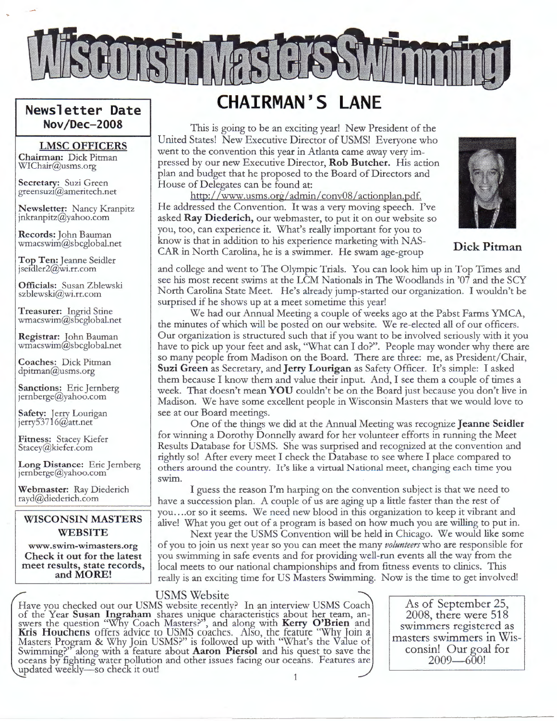

## **Newsletter Date Nov/Dec-2008**

### **LMSC OFFICE RS**

**Chairman:** Dick Pitman WIChair@usms.org

**Secretary:** Suzi Green greensuz1@ameritech.net

**Newsletter:** Nancy Kranpitz jnkranpitz@yahoo.com

**Records:** John Bauman wmacswim@sbcglobal.net

**Top Ten:** Jeanne Seidler jsei $\text{dler2} @$ wi.rr.com

**Officials:** Susan Zblewski szblewski@wi.rr.com

**Treasurer:** Ingrid Stine wmacswim@sbcglobal.net

**Registrar:** lohn Bauman wmacswim@sbcglobal.net

**Coaches:** Dick Pitman dpitman@usms.org

**Sanctions:** Eric Jernberg jernberge@yahoo.com

**Safety:** Jerry Lourigan jerry53716@att.net

**Fitness:** Stacey Kiefer Stacey@kiefer.com

**Long Distance:** Eric Jernberg  $j$ ernberge@yahoo.com

**Webmaster:** Ray Diederich rayd@diederich.com

### **WISCONSIN MASTERS WEBSITE**

**www.swim-wimasters.org Check it out for the latest meet results, state records, and MORE!** 

## **CHAIRMAN'S LANE**

This is going to be an exciting year! New President of the United States! New Executive Director of USMS! Everyone who went to the convention this year in Atlanta came away very impressed by our new Executive Director, **Rob Butcher.** His action plan and budget that he proposed to the Board of Directors and House of Delegates can be found at:

http://www.usms.org/admin/ conv08 /actionplan.pdf. He addressed the Convention. It was a very moving speech. I've asked **Ray D iederich,** our webmaster, to put it on our website so you, too, can experience it. What's really important for you to know is that in addition to his experience marketing with NAS-CAR in North Carolina, he is a swimmer. He swam age-group



**Dick Pitman** 

and college and went to The Olympic Trials. You can look him up in Top Times and see his most recent swims at the LCM Nationals in The Woodlands in '07 and the SCY North Carolina State Meet. He's already jump-started our organization. I wouldn't be surprised if he shows up at a meet sometime this year!

We had our Annual Meeting a couple of weeks ago at the Pabst Farms YMCA, the minutes of which will be posted on our website. We re-elected all of our officers. Our organization is structured such that if you want to be involved seriously with it you have to pick up your feet and ask, "What can I do?". People may wonder why there are so many people from Madison on the Board. There are three: me, as President/ Chair, **Suzi Green** as Secretary, and **Jerry Lourigan** as Safety Officer. It's simple: I asked them because I know them and value their input. And, I see them a couple of times a week. That doesn't mean **YOU** couldn't be on the Board just because you don't live in Madison. We have some excellent people in Wisconsin Masters that we would love to see at our Board meetings.

One of the things we did at the Annual Meeting was recognize **Jeanne Seidler**  for winning a Dorothy Donnelly award for her volunteer efforts in running the Meet Results Database for USMS. She was surprised and recognized at the convention and rightly so! After every meet I check the Database to see where I place compared to others around the country. It's like a virtual National meet, changing each time you swim.

I guess the reason I'm harping on the convention subject is that we need to have a succession plan. A couple of us are aging up a little faster than the rest of you .... or so it seems. We need new blood in this organization to keep it vibrant and alive! What you get out of a program is based on how much you are willing to put in.

Next year the USMS Convention will be held in Chicago. We would like some of you to join us next year so you can meet the many *volunteers* who are responsible for you swimming in safe events and for providing well-run events all the way from the local meets to our national championships and from fitness events to clinics. This really is an exciting time for US Masters Swimming. Now is the time to get involved!

## USMS Website

Have you checked out our USMS website recently? In an interview USMS Coach of the Year Susan Ingraham shares unique characteristics about her team, answers the question "Why Coach Masters?", and along with **Kerry O'Brien** and **Kris Houchens** offers advice to USMS coaches. Also, the feature "Why loin a Masters Program & Why Join USMS?" is followed up with "What's the Value of Swimming?" along with a feature about **Aaron Piersol** and his quest to save the oceans by fighting water pollution and other issues facing our oceans. Features are updated weekly-so check it out! 1

As of September 25, 2008, there were 518 swimmers registered as masters swimmers in Wisconsin! Our goal for  $2009 - 600!$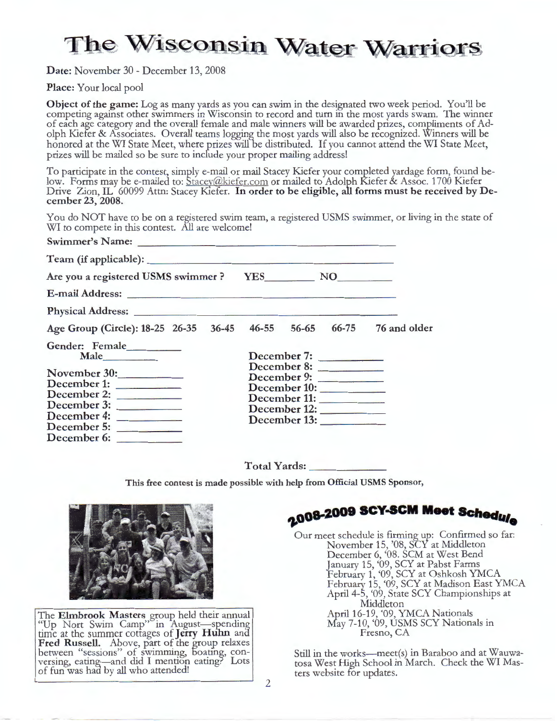# The Wisconsin Water Warriors

**Date:** November 30 - December 13, 2008

**Place:** Your local pool

**Object of the game:** Log as many yards as you can swim in the designated two week period. You'll be competing against other swimmers in Wisconsin to record and turn in the most yards swam. The winner of each age category and the overall female and male winners will be awarded prizes, compliments of Adolph Kiefer & Associates. Overall teams logging the most yards will also be recognized. Winners will be honored at the WI State Meet, where prizes will be distributed. If you cannot attend the WI State Meet, prizes will be mailed so be sure to incfude your proper mailing address!

To participate in the contest, simply e-mail or mail Stacey Kiefer your completed yardage form, found below. Forms may be e-mailed to: Stacey@kiefer.com or mailed to Adolph Kiefer & Assoc. 1700 Kiefer Drive Zion, IL 60099 Attn: Stacey Kiefer. **In order to be eligible, all forms must be received by December 23, 2008.** 

You do NOT have to be on a registered swim team, a registered USMS swimmer, or living in the state of WI to compete in this contest. All are welcome!

| Swimmer's Name: Name:                                                |                                                                            |  |              |  |
|----------------------------------------------------------------------|----------------------------------------------------------------------------|--|--------------|--|
|                                                                      |                                                                            |  |              |  |
| Are you a registered USMS swimmer? YES___________ NO__________       |                                                                            |  |              |  |
|                                                                      |                                                                            |  |              |  |
|                                                                      |                                                                            |  |              |  |
| Age Group (Circle): 18-25 26-35 36-45 46-55 56-65 66-75 76 and older |                                                                            |  |              |  |
| Gender: Female<br>Male                                               |                                                                            |  | December 7:  |  |
| November 30:<br>December 1:                                          | December 8:<br>December 9:<br>December 10:<br>December 11:<br>December 12: |  |              |  |
| December 2:<br>December 3:                                           |                                                                            |  |              |  |
| December 4:<br>December 5:<br>December 6:                            |                                                                            |  | December 13: |  |

**Total Yards: \_ \_\_\_\_\_ \_** 

**This free contest is made possible with help from Official USMS Sponsor,** 



The **Elmbrook Masters** group held their annual "Up Nort Swim Camp" in August-spending time at the summer cottages of **Jerry Hulm** ana **Fred Russell.** Above, part of the group relaxes between "sessions" of swimming, boating, conversing, eating-and did I mention eating? Lots of fun was had by all who attended!

 $-2008 - 2009$  SCY-SCM Meet Schedule

Our meet schedule is firming up: Confirmed so far: November 15, '08, SCY at Middleton December 6, '08. SCM at West Bend January 15, '09, SCY at Pabst Farms February 1, '09, SCY at Oshkosh YMCA February 15, '09, SCY at Madison East YMCA April 4-5, '09, State SCY Championships at Middleton April 16-19, '09, YMCA Nationals May 7-10, '09, USMS SCY Nationals in Fresno, CA

Still in the works-meet(s) in Baraboo and at Wauwa- tosa West High School in March. Check the WI Masters website for updates.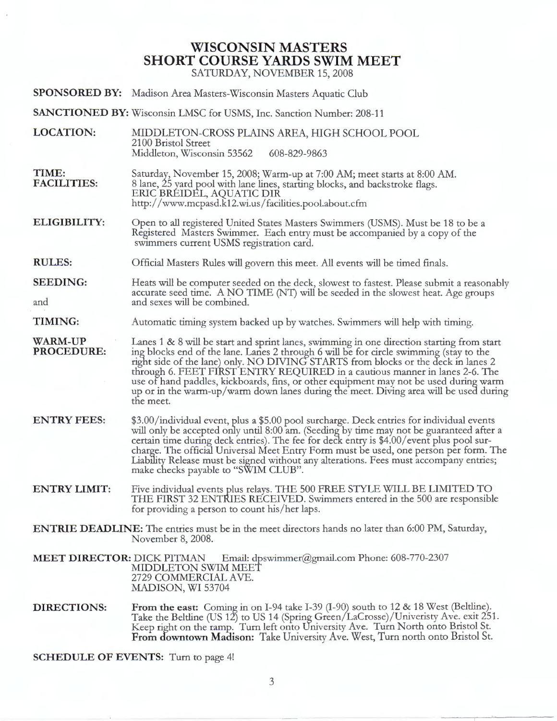## **WISCONSIN MASTERS SHORT COURSE YARDS SWIM MEET**

SATURDAY, NOVEMBER 15, 2008

- **SPONSORED BY:** Madison Area Masters-Wisconsin Masters Aquatic Club
- **SANCTIONED BY:** Wisconsin LMSC for USMS, Inc. Sanction Number: 208-11
- **LOCATION:**  MIDDLETON-CROSS PLAINS AREA, HIGH SCHOOL POOL 2100 Bristol Street Middleton, Wisconsin 53562 608-829-9863
- **TIME: FACILITIES:**  Saturday, November 15, 2008; Warm-up at 7:00 AM; meet starts at 8:00 AM. 8 lane, 25 yard pool with lane lines, starting blocks, and backstroke flags. ERIC BREIDEL, AQUATIC DIR http:/ / www.mcpasd.k12.wi.us/ facilities.pool.about.cfm

**ELIGIBILITY:**  Open to all registered United States Masters Swimmers (USMS). Must be 18 to be a Registered Masters Swimmer. Each entry must be accompanied by a copy of the swimmers current USMS registration card.

- **RULES:**  Official Masters Rules will govern this meet. All events will be timed finals.
- **SEEDING:**  and Heats will be computer seeded on the deck, slowest to fastest. Please submit a reasonably accurate seed time. A NO TIME (NT) will be seeded in the slowest heat. Age groups and sexes will be combined.
- **TIMING:**  Automatic timing system backed up by watches. Swimmers will help with timing.
- **WARM-UP PROCEDURE:**  Lanes 1 & 8 will be start and sprint lanes, swimming in one direction starting from start ing blocks end of the lane. Lanes 2 through 6 will be for circle swimming (stay to the right side of the lane) only. NO DIVING STARTS from blocks or the deck in lanes 2 through 6. FEET FIRST ENTRY REQUIRED in a cautious manner in lanes 2-6. The use of hand paddles, kickboards, fins, or other equipment may not be used during warm up or in the warm-up/warm down lanes during the meet. Diving area will be used during the meet.
- **ENTRY FEES:**  \$3.00/individual event, plus a \$5.00 pool surcharge. Deck entries for individual events will only be accepted only until 8:00 am. (Seeding by time may not be guaranteed after a certain time during deck entries). The fee for deck entry is \$4.00/ event plus pool surcharge. The official Universal Meet Entry Form must be used, one person per form. The Liability Release must be signed without any alterations. Fees must accompany entries; make checks payable to "SWIM CLUB".
- **ENTRY LIMIT:**  Five individual events plus relays. THE 500 FREE STYLE WILL BE LIMITED TO THE FIRST 32 ENTRIES RECEIVED. Swimmers entered in the 500 are responsible for providing a person to count his/ her laps.

**ENTRIE DEADLINE:** The entries must be in the meet directors hands no later than 6:00 PM, Saturday, November 8, 2008.

**MEET DIRECTOR:** DICK PITMAN Email: dpswimmer@gmail.com Phone: 608-770-2307 MIDDLETON SWIM MEET 2729 COMMERCIAL AVE. MADISON, WI 53704

**DIRECTIONS:**  From the east: Coming in on I-94 take I-39 (I-90) south to 12 & 18 West (Beltline). Take the Beltline (US  $12$ ) to US 14 (Spring Green/LaCrosse)/Univeristy Ave. exit 251. Keep right on the ramp. Turn left onto University Ave. Turn North onto Bristol St. **From downtown Madison:** Take University Ave. West, Turn north onto Bristol St.

**SCHEDULE OF EVENTS:** Turn to page 4!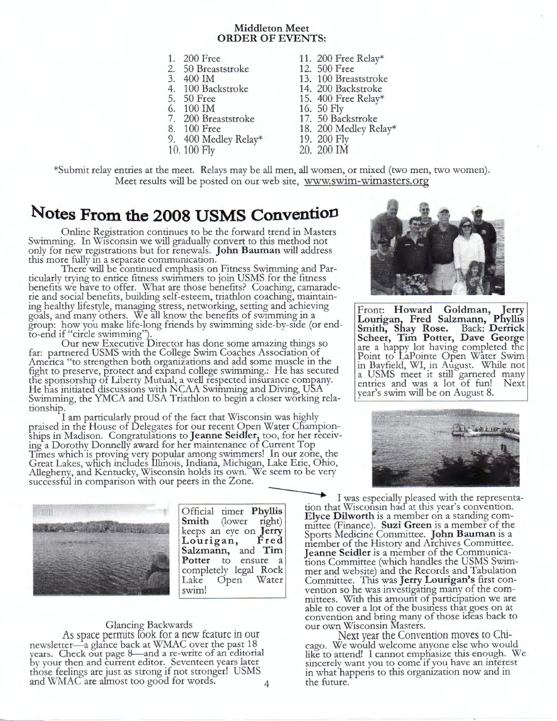#### **Middleton Meet ORDER OF EVENTS:**

- 
- 2. 50 Breaststroke<br>3. 400 IM
- 
- 
- 
- 
- 6. 100 IM 16. 50 Fly<br>7. 200 Breaststroke 17. 50 Bac
- 
- 9. 400 Medley Relay\*
- 10. 100 Fly
- 1. 200 Free 11. 200 Free Relay\*<br>2. 50 Breaststroke 12. 500 Free
	-
- 3. 400 IM 13. 100 Breaststroke<br>4. 100 Backstroke 14. 200 Backstroke
- 4. 100 Backstroke 14. 200 Backstroke<br>5. 50 Free 15. 400 Free Relay\*
- 5. 50 Free 15. 400 Free Relay\*<br>6. 100 IM 16. 50 Fly
	-
- 7. 200 Breaststroke 17. 50 Backstroke<br>8. 100 Free 18. 200 Medley Re
	- 18. 200 Medley Relay\*
	- 19. 200 Fly
	- 20. 200 IM

\*Submit relay entries at the meet. Relays may be all men, all women, or mixed (two men, two women). Meet results will be posted on our web site, www.swim-wimasters.org

## **Notes From the 2008 USMS Convention**

Online Registration continues to be the forward trend in Masters Swimming. In Wisconsin we will gradually convert to this method not only for new registrations but for renewals. **John Bauman** will address this more fully m a separate communication.

There will be continued emphasis on Fitness Swimming and Particularly trying to entice fitness swimmers to join USMS for the fitness benefits we have to offer. What are those benefits? Coaching, camaraderie and social benefits, building self-esteem, triathlon coaching, maintaining healthy lifestyle, managing stress, networking, setting and achieving goals, and many others. We all know the benefits of swimming in a group: how you make life-long friends by swimming side-by-side (or endto-end if "circle swimming").

Our new Executive birector has done some amazing things so far: partnered USMS with the College Swim Coaches Association of America "to strengthen both organizations and add some muscle in the fight to preserve, protect and expand college swimming.: He has secured tne sponsorship of Liberty Mutual, a well respected insurance company. He has initiated discussions with NCAA Swimming and Diving, USA Swimming, the YMCA and USA Triathlon to begin a closer working relationship.

I am particularly proud of the fact that Wisconsin was highly praised in the House of Delegates for our recent Open Water Cfiampionships in Madison. Congratulations to **Jeanne Seidler,** too, for her receiv- ing a Dorothy Donnelly award for her maintenance of Current Top Times which is proving very popular among swimmers! In our zone, the Great Lakes, wliich includes Illinois, Indiana, Michigan, Lake Erie, Ohio, Allegheny, and Kentucky, Wisconsin holds its own. We seem to be very successful in comparison with our peers in the Zone.



#### Glancing Backwards

As space permits look for a new feature in our newsletter-a glance back at WMAC over the past 18 years. Check out page 8-and a re-write of an editorial by your then and current editor. Seventeen years later those feelings are just as strong if not stronger! USMS and WMAC are almost too good for words.



Front: Howard Goldman, Jerry **Lourigan, Fred Salzmann, Pnyllis Smith, Shay Rose.** Back: **D errick Scheer, Tim Potter, Dave George**  are a happy lot having completed the Point to LaPointe Open Water Swim in Bayfield, WI, in August. While not a USMS meet it still garnered many entries and was a lot of fun! Next year's swim will be on August 8.



I was especially pleased with the representa-<br>Official timer **Phyllis**  $\begin{bmatrix} \text{E}} \\ \text{E}} \end{bmatrix}$  was especially pleased with the representa-**Elyce Dilworth** is a member on a standing com-**Smith** (lower right) mittee (Finance). **Suzi Green** is a member of the keeps an eye on **Jerry** Sports Medicine Committee. **John Bauman** is a **Lourigan, Fred** member of the History and Archives Committee.<br>**Salzmann,** and **Tim** Jeanne Seidler is a member of the Communica-**Pollarian:** and **Tim** Jeanne Seidler is a member of the Communica-<br> **Potter** to ensure a tions Committee (which handles the USMS Swim-<br>
completely legal Rock mer and website) and the Records and Tabulation completely legal Rock mer and website) and the Records and Tabulation<br>Lake Open Water Committee. This was Jerry Lourigan's first con-Committee. This was **Jerry Lourigan's** first conswim! vention so he was investigating many of the committees. With this amount of participation we are able to cover a lot of the business that goes on at convention and bring many of those ideas back to our own Wisconsin Masters.

Next year the Convention moves to Chicago. We would welcome anyone else who would like to attend! I cannot emphasize this enough. We sincerely want you to come if you have an interest in what happens to this organization now and in the future.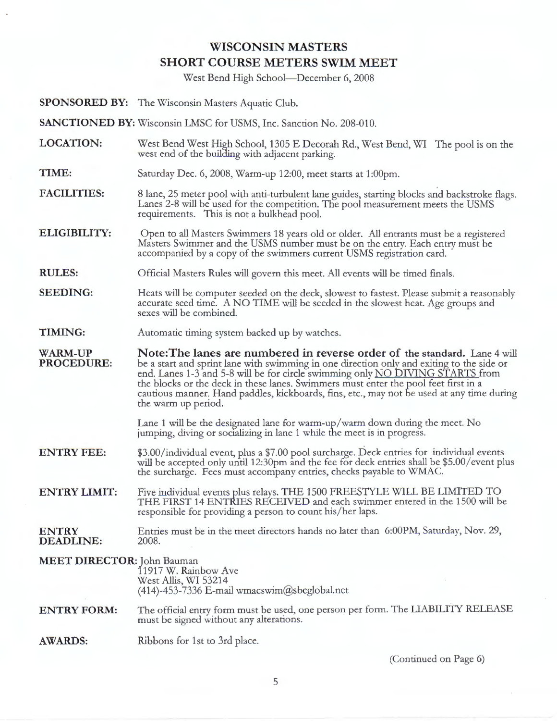## **WISCONSIN MASTERS SHORT COURSE METERS SWIM MEET**

West Bend High School-December 6, 2008

**SPONSORED BY:** The Wisconsin Masters Aquatic Club.

**SANCTIONED BY:** Wisconsin LMSC for USMS, Inc. Sanction No. 208-010.

- **LOCATION:**  West Bend West High School, 1305 E Decorah Rd., West Bend, WI The pool is on the west end of the building with adjacent parking.
- **TIME:**  Saturday Dec. 6, 2008, Warm-up 12:00, meet starts at 1:00pm.
- **FACILITIES:**  8 lane, 25 meter pool with anti-turbulent lane guides, starting blocks and backstroke flags. Lanes 2-8 will be used for the competition. The pool measurement meets the USMS requirements. This is not a bulkhead pool.
- **ELIGIBILITY:**  Open to all Masters Swimmers 18 years old or older. All entrants must be a registered Masters Swimmer and the USMS number must be on the entry. Each entry must be accompanied by a copy of the swimmers current USMS registration card.
- **RULES:**  Official Masters Rules will govern this meet. All events will be timed finals.
- **SEEDING:**  Heats will be computer seeded on the deck, slowest to fastest. Please submit a reasonably accurate seed time. A NO TIME will be seeded in the slowest heat. Age groups and sexes will be combined.
- **TIMING:**  Automatic timing system backed up by watches.

**WARM-UP PROCEDURE: N ote:The lanes are numbered in reverse order of the standard.** Lane 4 will be a start and sprint lane with swimming in one direction only and exiting to the side or end. Lanes 1-3 and 5-8 will be for circle swimming only NO DIVING STARTS from the blocks or the deck in these lanes. Swimmers must enter the pool feet first in a cautious manner. Hand paddles, kickboards, fins, etc., may not be used at any time during the warm up period.

> Lane 1 will be the designated lane for warm-up/warm down during the meet. No jumping, diving or socializing in lane 1 while the meet is in progress.

- **ENTRY FEE:**  \$3.00/individual event, plus a \$7.00 pool surcharge. Deck entries for individual events will be accepted only until 12:30pm and the fee for deck entries shall be \$5.00/event plus the surcharge. Fees must accompany entries, checks payable to WMAC.
- **ENTRY LIMIT:**  Five individual events plus relays. THE 1500 FREESTYLE WILL BE LIMITED TO THE FIRST 14 ENTRIES RECEIVED and each swimmer entered in the 1500 will be responsible for providing a person to count his/her laps.

#### **ENTRY DEADLINE:**  Entries must be in the meet directors hands no later than 6:00PM, Saturday, Nov. 29, 2008.

### **MEET DIRECTOR:** John Bauman 11917 W. Rainbow Ave West Allis, WI 53214  $(414)$ -453-7336 E-mail wmacswim@sbcglobal.net

#### **ENTRY FORM:**  The official entry form must be used, one person per form. The LIABILITY RELEASE must be signed without any alterations.

**AWARDS:**  Ribbons for 1st to 3rd place.

(Continued on Page 6)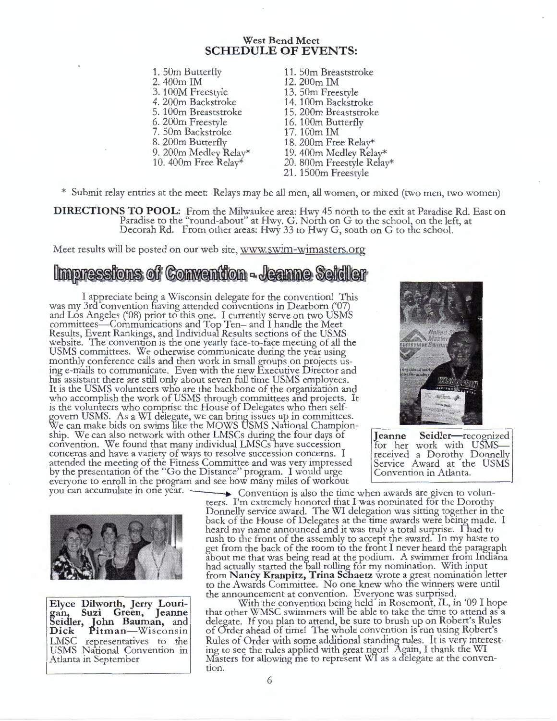### **West Bend Meet SCHEDULE OF EVENTS:**

- 1. 50m Butterfly 11. 50m Breaststroke<br>2. 400m IM 12. 200m IM 3. 100M Freestyle 4. 200m Backstroke 6. 200m Freestyle 7. 50m Backstroke 8. 200m Butterfly 9. 200m Medley Relay\* 10. 400m Free Relay\*
- 2. 400m IM 12. 200m IM 13. 50m Freestyle 14. 100m Backstroke 15. 200m Breaststroke 16. 100m Butterfly 17. 100m IM 18. 200m Free Relay\* 19. 400m Medley Relay\* 20. 800m Freestyle Relay\* 21. 1500m Freestyle

\* Submit relay entries at the meet: Relays may be all men, all women, or mixed (two men, two women)

**DIRECTIONS TO POOL:** From the Milwaukee area: Hwy 45 north to the exit at Paradise Rd. East on Paradise to the "round-about" at Hwy. G. North on G to the school, on the left, at Decorah Rd. From other areas: Hwy 33 to Hwy G, south on G to the school.

Meet results will be posted on our web site, www.swim-wimasters.org

## Impressions of Convention - Jeanne Seidler

I appreciate being a Wisconsin delegate for the convention! This was my 3rd convention having attended conventions in Dearborn ('07) and Los Angeles ('08) prior to this one. I currently serve on two USMS committees-Communications and Top Ten- and I handle the Meet Results, Event Rankings, and Individual Results sections of the USMS website. The convention is the one yearly face-to-face meeting of all the USMS committees. We otherwise communicate during the year using monthly conference calls and then work in small groups on projects using e-mails to communicate. Even with the new Executive Director and his assistant there are still only about seven full time USMS employees. It is the USMS volunteers who are the backbone of the organization and who accomplish the work of USMS through committees and projects. It is the volunteers who comprise the House of Delegates who then selfgovern USMS. As a WI delegate, we can brin\_g issues up in committees. We can make bids on swims like the MOWS DSMS National Championship. We can also network with other LMSCs during the four days of convention. We found that many individual LMSCs have succession concerns and have a variety of ways to resolve succession concerns. I attended the meeting of the Fitness Committee and was very impressed by the presentation of the "Go the Distance" program. I would urge everyone to enroll in the program and see how many miles of workout<br>you can accumulate in one year.



**Jeanne** Seidler-recognized for her work with USMSreceived a Dorothy Donnelly Service Award at the USMS Convention in Atlanta.



**Elyce Dilworth, Jerry Lourigan, Suzi Green, Jeanne Seidler, Tohn Bauman,** and **Dick** Pitman-Wisconsin LMSC representatives to the USMS National Convention in Atlanta in September

 $\rightarrow$  Convention is also the time when awards are given to volunteers. I'm extremely honored that I was nominated for the Dorothy Donnelly service award. The WI delegation was sitting together in the back of the House of Delegates at the time awards were being made. I heard my name announced and it was truly a total surprise. Thad to rush to the front of the assembly to accept the award. In my haste to get from the back of the room to the front I never heard the paragraph about me that was being read at the podium. A swimmer from Indiana<br>had actually started the ball rolling for my nomination. With input from Nancy Kranpitz, Trina Schaetz wrote a great nomination letter to the Awards Committee. No one knew who the winners were until the announcement at convention. Everyone was surprised.

With the convention being held in Rosemont, IL, in '09 I hope that other WMSC swimmers will be able to take the time to attend as a delegate. If you plan to attend, be sure to brush up on Robert's Rules of 0rder ahead of time! The whole convention is run using Robert's Rules of Order with some additional standing rules. It is very interesting to see the rules applied with great rigor! Again, I thank the WI Masters for allowing me to represent WI as a delegate at the convention.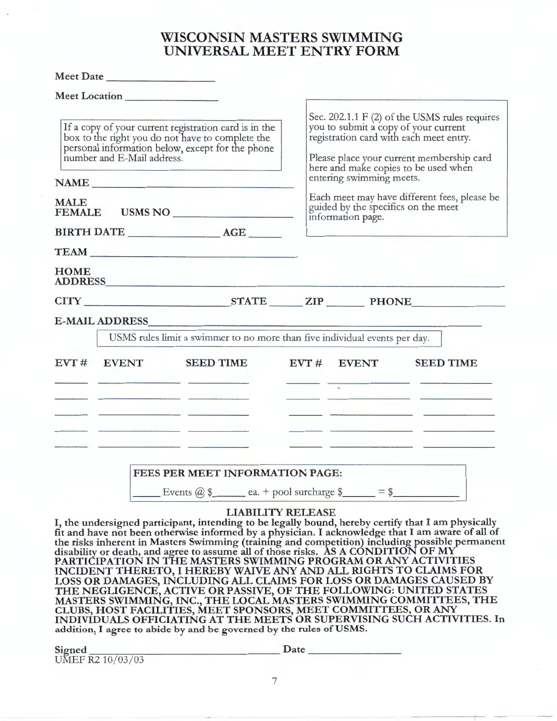## **WISCONSIN MASTERS SWIMMING UNIVERSAL MEET ENTRY FORM**

|                                                                                                                                                                                                                                           | Meet Location         |                                                                                                                                                                                                                                                                                                                                                                                                                                                                       |  |                                                                                                                                                                                                                                                                                                                                                               |                                                                                                                                                                                                                                                                                                 |  |  |
|-------------------------------------------------------------------------------------------------------------------------------------------------------------------------------------------------------------------------------------------|-----------------------|-----------------------------------------------------------------------------------------------------------------------------------------------------------------------------------------------------------------------------------------------------------------------------------------------------------------------------------------------------------------------------------------------------------------------------------------------------------------------|--|---------------------------------------------------------------------------------------------------------------------------------------------------------------------------------------------------------------------------------------------------------------------------------------------------------------------------------------------------------------|-------------------------------------------------------------------------------------------------------------------------------------------------------------------------------------------------------------------------------------------------------------------------------------------------|--|--|
| If a copy of your current registration card is in the<br>box to the right you do not have to complete the<br>personal information below, except for the phone<br>number and E-Mail address.<br>NAME NAME<br><b>MALE</b><br>FEMALE USMS NO |                       |                                                                                                                                                                                                                                                                                                                                                                                                                                                                       |  | Sec. 202.1.1 F (2) of the USMS rules requires<br>you to submit a copy of your current<br>registration card with each meet entry.<br>Please place your current membership card<br>here and make copies to be used when<br>entering swimming meets.<br>Each meet may have different fees, please be<br>guided by the specifics on the meet<br>information page. |                                                                                                                                                                                                                                                                                                 |  |  |
|                                                                                                                                                                                                                                           |                       |                                                                                                                                                                                                                                                                                                                                                                                                                                                                       |  |                                                                                                                                                                                                                                                                                                                                                               |                                                                                                                                                                                                                                                                                                 |  |  |
|                                                                                                                                                                                                                                           |                       |                                                                                                                                                                                                                                                                                                                                                                                                                                                                       |  |                                                                                                                                                                                                                                                                                                                                                               |                                                                                                                                                                                                                                                                                                 |  |  |
|                                                                                                                                                                                                                                           |                       | BIRTH DATE AGE                                                                                                                                                                                                                                                                                                                                                                                                                                                        |  |                                                                                                                                                                                                                                                                                                                                                               |                                                                                                                                                                                                                                                                                                 |  |  |
|                                                                                                                                                                                                                                           |                       |                                                                                                                                                                                                                                                                                                                                                                                                                                                                       |  |                                                                                                                                                                                                                                                                                                                                                               |                                                                                                                                                                                                                                                                                                 |  |  |
| <b>HOME</b>                                                                                                                                                                                                                               |                       | ADDRESS AND AND RESIDENCE AND RESIDENCE AND ANNUAL CONTRACTOR OF THE CONTRACTOR OF THE CONTRACTOR OF THE CONTRACTOR                                                                                                                                                                                                                                                                                                                                                   |  |                                                                                                                                                                                                                                                                                                                                                               |                                                                                                                                                                                                                                                                                                 |  |  |
|                                                                                                                                                                                                                                           |                       | CITY STATE ZIP PHONE                                                                                                                                                                                                                                                                                                                                                                                                                                                  |  |                                                                                                                                                                                                                                                                                                                                                               |                                                                                                                                                                                                                                                                                                 |  |  |
|                                                                                                                                                                                                                                           | <b>E-MAIL ADDRESS</b> |                                                                                                                                                                                                                                                                                                                                                                                                                                                                       |  |                                                                                                                                                                                                                                                                                                                                                               |                                                                                                                                                                                                                                                                                                 |  |  |
|                                                                                                                                                                                                                                           |                       | USMS rules limit a swimmer to no more than five individual events per day.                                                                                                                                                                                                                                                                                                                                                                                            |  |                                                                                                                                                                                                                                                                                                                                                               |                                                                                                                                                                                                                                                                                                 |  |  |
|                                                                                                                                                                                                                                           | EVT # EVENT           | <b>SEED TIME</b>                                                                                                                                                                                                                                                                                                                                                                                                                                                      |  | EVT # EVENT                                                                                                                                                                                                                                                                                                                                                   | <b>SEED TIME</b>                                                                                                                                                                                                                                                                                |  |  |
|                                                                                                                                                                                                                                           |                       | and the control of the control of the control of the control of the control of the control of                                                                                                                                                                                                                                                                                                                                                                         |  |                                                                                                                                                                                                                                                                                                                                                               | <u> 1989 - Alexandria Alexandria de Alexandria de la contrada de la contrada de la contrada de la contrada de la</u>                                                                                                                                                                            |  |  |
|                                                                                                                                                                                                                                           |                       | <u>and the community of the community of the community of the community of the community of the community of the community of the community of the community of the community of the community of the community of the community</u><br>the control of the control of the control of the control of the control of the control of the control of the control of the control of the control of the control of the control of the control of the control of the control |  |                                                                                                                                                                                                                                                                                                                                                               | <u> 1989 - Antonio Alemania, politikar politikar (h. 1989)</u><br>the company of the company of the company of the company of the company of the company of the company of the company of the company of the company of the company of the company of the company of the company of the company |  |  |
|                                                                                                                                                                                                                                           |                       |                                                                                                                                                                                                                                                                                                                                                                                                                                                                       |  |                                                                                                                                                                                                                                                                                                                                                               |                                                                                                                                                                                                                                                                                                 |  |  |
|                                                                                                                                                                                                                                           |                       | FEES PER MEET INFORMATION PAGE:                                                                                                                                                                                                                                                                                                                                                                                                                                       |  |                                                                                                                                                                                                                                                                                                                                                               |                                                                                                                                                                                                                                                                                                 |  |  |
|                                                                                                                                                                                                                                           |                       | $\frac{1}{2}$ Events @ \$ ea. + pool surcharge \$ = \$                                                                                                                                                                                                                                                                                                                                                                                                                |  |                                                                                                                                                                                                                                                                                                                                                               |                                                                                                                                                                                                                                                                                                 |  |  |

## **LIABILITY RELEASE**

I, **the undersigned participant, intending to be legally bound, hereby certify that** I **am physically fit and have not been otherwise informed by a physician.** I **acknowledge that** I **am aware of all of**  the risks inherent in Masters Swimming (training and competition) including possible permanent **disability or death, and agree to assume all of those risks. AS A CONDITION OF** *MY*  **PARTICIPATION IN THE MASTERS SWIMMING PROGRAM OR ANY ACTIVITIES INCIDENT THERETO,** I **HEREBY WAIVE ANY AND ALL RIGHTS TO CLAIMS FOR LOSS OR DAMAGES, INCLUDING ALL CLAIMS FOR LOSS OR DAMAGES CAUSED BY THE NEGLIGENCE, ACTIVE OR PASSIVE, OF THE FOLLOWING: UNITED STATES MASTERS SWIMMING, INC., THE LOCAL MASTERS SWIMMING COMMITTEES, THE CLUBS, HOST FACILITIES, MEET SPONSORS, MEET COMMITTEES, OR ANY INDIVIDUALS OFFICIATING AT THE MEETS OR SUPERVISING SUCH ACTIVITIES.** In

| addition, I agree to abide by and be governed by the rules of USMS. |      |
|---------------------------------------------------------------------|------|
|                                                                     | Date |
| Signed<br>UMEF $R2 10/03/03$                                        |      |

**Meet Date \_\_\_\_ \_\_\_\_ \_** 

7